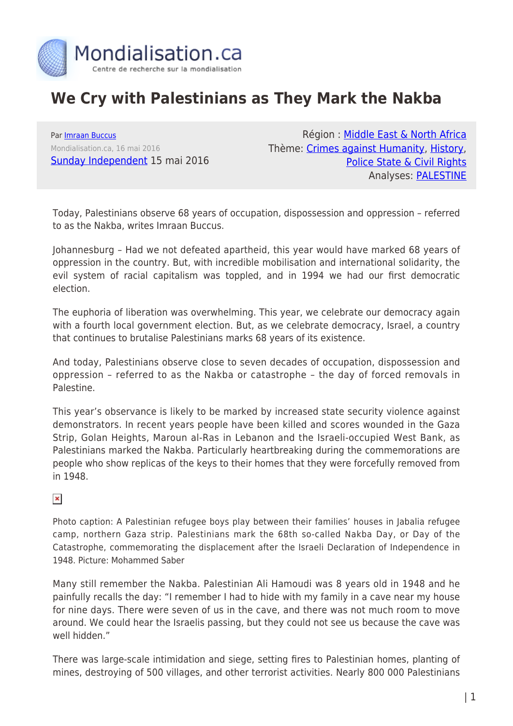

## **We Cry with Palestinians as They Mark the Nakba**

Par [Imraan Buccus](https://www.mondialisation.ca/author/imraan-buccus) Mondialisation.ca, 16 mai 2016 [Sunday Independent](http://www.iol.co.za/sundayindependent/we-cry-with-palestinians-as-they-mark-the-nakba-2021741) 15 mai 2016

Région : [Middle East & North Africa](https://www.mondialisation.ca/region/middle-east) Thème: [Crimes against Humanity,](https://www.mondialisation.ca/theme/crimes-against-humanity) [History](https://www.mondialisation.ca/theme/culture-society-history), [Police State & Civil Rights](https://www.mondialisation.ca/theme/police-state-civil-rights) Analyses: [PALESTINE](https://www.mondialisation.ca/indepthreport/palestine)

Today, Palestinians observe 68 years of occupation, dispossession and oppression – referred to as the Nakba, writes Imraan Buccus.

Johannesburg – Had we not defeated apartheid, this year would have marked 68 years of oppression in the country. But, with incredible mobilisation and international solidarity, the evil system of racial capitalism was toppled, and in 1994 we had our first democratic election.

The euphoria of liberation was overwhelming. This year, we celebrate our democracy again with a fourth local government election. But, as we celebrate democracy, Israel, a country that continues to brutalise Palestinians marks 68 years of its existence.

And today, Palestinians observe close to seven decades of occupation, dispossession and oppression – referred to as the Nakba or catastrophe – the day of forced removals in Palestine.

This year's observance is likely to be marked by increased state security violence against demonstrators. In recent years people have been killed and scores wounded in the Gaza Strip, Golan Heights, Maroun al-Ras in Lebanon and the Israeli-occupied West Bank, as Palestinians marked the Nakba. Particularly heartbreaking during the commemorations are people who show replicas of the keys to their homes that they were forcefully removed from in 1948.

## $\pmb{\times}$

Photo caption: A Palestinian refugee boys play between their families' houses in Jabalia refugee camp, northern Gaza strip. Palestinians mark the 68th so-called Nakba Day, or Day of the Catastrophe, commemorating the displacement after the Israeli Declaration of Independence in 1948. Picture: Mohammed Saber

Many still remember the Nakba. Palestinian Ali Hamoudi was 8 years old in 1948 and he painfully recalls the day: "I remember I had to hide with my family in a cave near my house for nine days. There were seven of us in the cave, and there was not much room to move around. We could hear the Israelis passing, but they could not see us because the cave was well hidden."

There was large-scale intimidation and siege, setting fires to Palestinian homes, planting of mines, destroying of 500 villages, and other terrorist activities. Nearly 800 000 Palestinians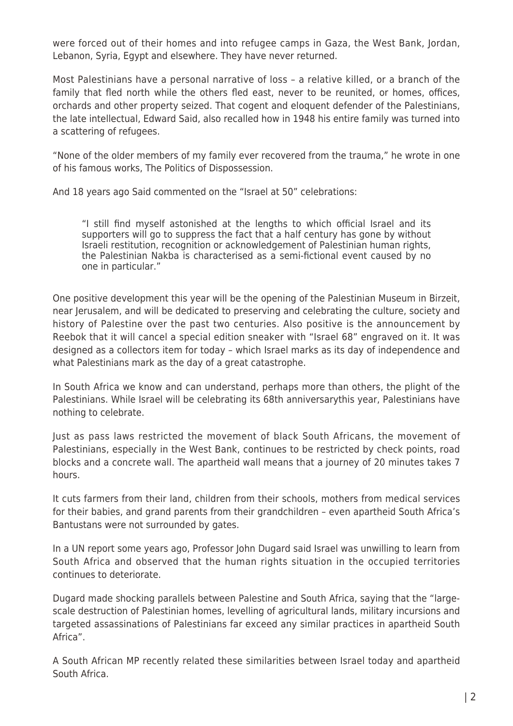were forced out of their homes and into refugee camps in Gaza, the West Bank, Jordan, Lebanon, Syria, Egypt and elsewhere. They have never returned.

Most Palestinians have a personal narrative of loss – a relative killed, or a branch of the family that fled north while the others fled east, never to be reunited, or homes, offices, orchards and other property seized. That cogent and eloquent defender of the Palestinians, the late intellectual, Edward Said, also recalled how in 1948 his entire family was turned into a scattering of refugees.

"None of the older members of my family ever recovered from the trauma," he wrote in one of his famous works, The Politics of Dispossession.

And 18 years ago Said commented on the "Israel at 50" celebrations:

"I still find myself astonished at the lengths to which official Israel and its supporters will go to suppress the fact that a half century has gone by without Israeli restitution, recognition or acknowledgement of Palestinian human rights, the Palestinian Nakba is characterised as a semi-fictional event caused by no one in particular."

One positive development this year will be the opening of the Palestinian Museum in Birzeit, near Jerusalem, and will be dedicated to preserving and celebrating the culture, society and history of Palestine over the past two centuries. Also positive is the announcement by Reebok that it will cancel a special edition sneaker with "Israel 68" engraved on it. It was designed as a collectors item for today – which Israel marks as its day of independence and what Palestinians mark as the day of a great catastrophe.

In South Africa we know and can understand, perhaps more than others, the plight of the Palestinians. While Israel will be celebrating its 68th anniversarythis year, Palestinians have nothing to celebrate.

Just as pass laws restricted the movement of black South Africans, the movement of Palestinians, especially in the West Bank, continues to be restricted by check points, road blocks and a concrete wall. The apartheid wall means that a journey of 20 minutes takes 7 hours.

It cuts farmers from their land, children from their schools, mothers from medical services for their babies, and grand parents from their grandchildren – even apartheid South Africa's Bantustans were not surrounded by gates.

In a UN report some years ago, Professor John Dugard said Israel was unwilling to learn from South Africa and observed that the human rights situation in the occupied territories continues to deteriorate.

Dugard made shocking parallels between Palestine and South Africa, saying that the "largescale destruction of Palestinian homes, levelling of agricultural lands, military incursions and targeted assassinations of Palestinians far exceed any similar practices in apartheid South Africa".

A South African MP recently related these similarities between Israel today and apartheid South Africa.